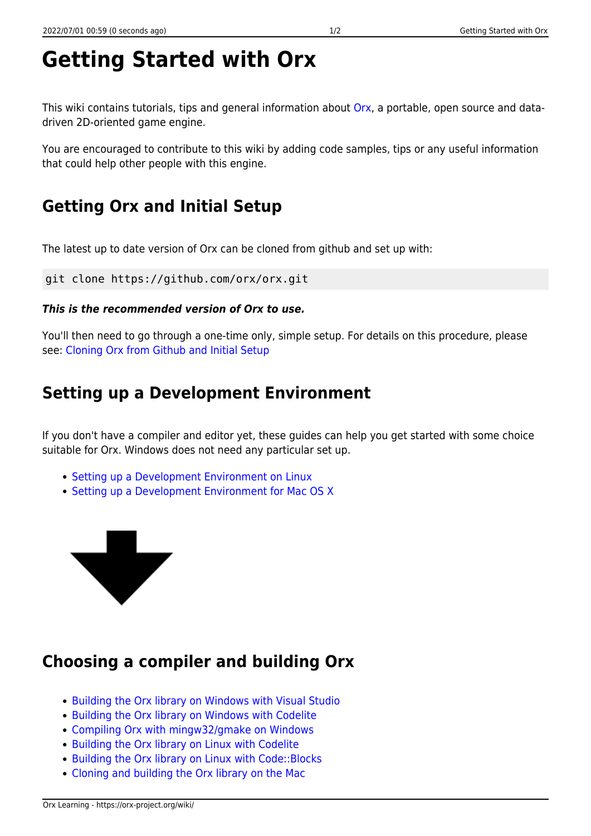# **Getting Started with Orx**

This wiki contains tutorials, tips and general information about [Orx](https://orx-project.org), a portable, open source and datadriven 2D-oriented game engine.

You are encouraged to contribute to this wiki by adding code samples, tips or any useful information that could help other people with this engine.

# **Getting Orx and Initial Setup**

The latest up to date version of Orx can be cloned from github and set up with:

git clone https://github.com/orx/orx.git

### *This is the recommended version of Orx to use.*

You'll then need to go through a one-time only, simple setup. For details on this procedure, please see: [Cloning Orx from Github and Initial Setup](https://orx-project.org/wiki/en/tutorials/orx/cloning_orx_from_github)

### **Setting up a Development Environment**

If you don't have a compiler and editor yet, these guides can help you get started with some choice suitable for Orx. Windows does not need any particular set up.

- [Setting up a Development Environment on Linux](https://orx-project.org/wiki/en/tutorials/orx/linux/setting_up_dev_on_linux)
- [Setting up a Development Environment for Mac OS X](https://orx-project.org/wiki/en/tutorials/orx/mac/setting_up_dev_on_mac)



## **Choosing a compiler and building Orx**

- [Building the Orx library on Windows with Visual Studio](https://orx-project.org/wiki/en/tutorials/orx/windows/cloning_and_building_orx_on_visual_studio)
- [Building the Orx library on Windows with Codelite](https://orx-project.org/wiki/en/tutorials/orx/windows/getting_codelite_for_windows)
- [Compiling Orx with mingw32/gmake on Windows](https://orx-project.org/wiki/en/tutorials/orx/windows/compiling_orx_with_mingw32_gmake)
- [Building the Orx library on Linux with Codelite](https://orx-project.org/wiki/en/tutorials/orx/linux/building_orx_with_codelite_on_linux)
- Building the Orx library on Linux with Code:: Blocks
- [Cloning and building the Orx library on the Mac](https://orx-project.org/wiki/en/tutorials/orx/mac/cloning_and_building_orx_on_mac)